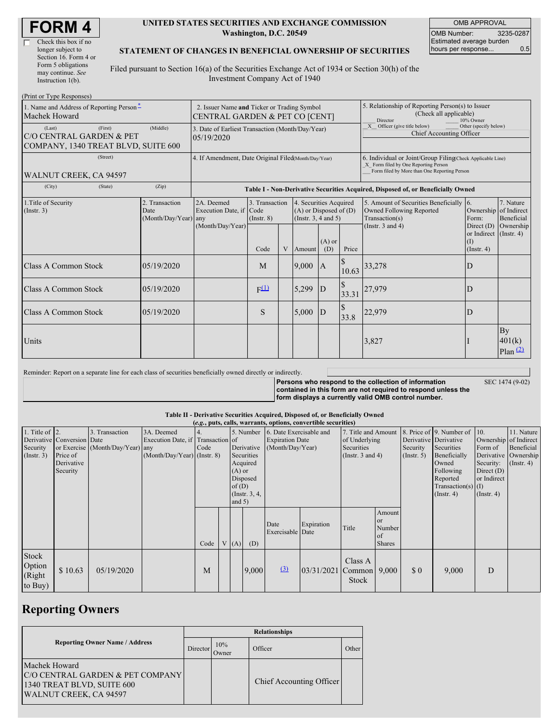| <b>FORM 4</b> |
|---------------|
|---------------|

г

| Check this box if no  |
|-----------------------|
| longer subject to     |
| Section 16. Form 4 or |
| Form 5 obligations    |
| may continue. See     |
| Instruction $1(b)$ .  |

#### **UNITED STATES SECURITIES AND EXCHANGE COMMISSION Washington, D.C. 20549**

OMB APPROVAL OMB Number: 3235-0287 Estimated average burden hours per response... 0.5

### **STATEMENT OF CHANGES IN BENEFICIAL OWNERSHIP OF SECURITIES**

Filed pursuant to Section 16(a) of the Securities Exchange Act of 1934 or Section 30(h) of the Investment Company Act of 1940

| (Print or Type Responses)                                                              |                                                                               |                                                                                  |                                           |   |                                                                                  |                 |                                                                                                                                                    |                                                                                       |                                                                 |                                                    |
|----------------------------------------------------------------------------------------|-------------------------------------------------------------------------------|----------------------------------------------------------------------------------|-------------------------------------------|---|----------------------------------------------------------------------------------|-----------------|----------------------------------------------------------------------------------------------------------------------------------------------------|---------------------------------------------------------------------------------------|-----------------------------------------------------------------|----------------------------------------------------|
| 1. Name and Address of Reporting Person-<br>Machek Howard                              | 2. Issuer Name and Ticker or Trading Symbol<br>CENTRAL GARDEN & PET CO [CENT] |                                                                                  |                                           |   |                                                                                  |                 | 5. Relationship of Reporting Person(s) to Issuer<br>(Check all applicable)<br>Director<br>10% Owner                                                |                                                                                       |                                                                 |                                                    |
| (First)<br>(Last)<br>C/O CENTRAL GARDEN & PET<br>COMPANY, 1340 TREAT BLVD, SUITE 600   | 3. Date of Earliest Transaction (Month/Day/Year)<br>05/19/2020                |                                                                                  |                                           |   |                                                                                  |                 | Other (specify below)<br>X Officer (give title below)<br>Chief Accounting Officer                                                                  |                                                                                       |                                                                 |                                                    |
| (Street)<br>WALNUT CREEK, CA 94597                                                     | 4. If Amendment, Date Original Filed(Month/Day/Year)                          |                                                                                  |                                           |   |                                                                                  |                 | 6. Individual or Joint/Group Filing(Check Applicable Line)<br>X Form filed by One Reporting Person<br>Form filed by More than One Reporting Person |                                                                                       |                                                                 |                                                    |
| (City)<br>(State)                                                                      | (Zip)                                                                         | Table I - Non-Derivative Securities Acquired, Disposed of, or Beneficially Owned |                                           |   |                                                                                  |                 |                                                                                                                                                    |                                                                                       |                                                                 |                                                    |
| 2. Transaction<br>1. Title of Security<br>$($ Instr. 3 $)$<br>Date<br>(Month/Day/Year) |                                                                               | 2A. Deemed<br>Execution Date, if<br>any                                          | 3. Transaction<br>Code<br>$($ Instr. $8)$ |   | 4. Securities Acquired<br>$(A)$ or Disposed of $(D)$<br>(Instr. $3, 4$ and $5$ ) |                 |                                                                                                                                                    | 5. Amount of Securities Beneficially 6.<br>Owned Following Reported<br>Transaction(s) | Ownership of Indirect<br>Form:                                  | 7. Nature<br>Beneficial                            |
|                                                                                        |                                                                               | (Month/Day/Year)                                                                 | Code                                      | V | Amount                                                                           | $(A)$ or<br>(D) | Price                                                                                                                                              | (Instr. $3$ and $4$ )                                                                 | Direct (D)<br>or Indirect (Instr. 4)<br>(I)<br>$($ Instr. 4 $)$ | Ownership                                          |
| <b>Class A Common Stock</b>                                                            | 05/19/2020                                                                    |                                                                                  | M                                         |   | 9,000                                                                            | A               | 10.63                                                                                                                                              | 33,278                                                                                | D                                                               |                                                    |
| <b>Class A Common Stock</b>                                                            | 05/19/2020                                                                    |                                                                                  | F <sup>(1)</sup>                          |   | 5,299                                                                            | D               | 33.31                                                                                                                                              | 27,979                                                                                | D                                                               |                                                    |
| Class A Common Stock                                                                   | 05/19/2020                                                                    |                                                                                  | S                                         |   | 5,000                                                                            | D               | 33.8                                                                                                                                               | 22,979                                                                                | D                                                               |                                                    |
| Units                                                                                  |                                                                               |                                                                                  |                                           |   |                                                                                  |                 |                                                                                                                                                    | 3,827                                                                                 |                                                                 | By<br>401(k)<br>$Plan$ <sup><math>(2)</math></sup> |

Reminder: Report on a separate line for each class of securities beneficially owned directly or indirectly.

**Persons who respond to the collection of information contained in this form are not required to respond unless the form displays a currently valid OMB control number.**

SEC 1474 (9-02)

#### **Table II - Derivative Securities Acquired, Disposed of, or Beneficially Owned**

| (e.g., puts, calls, warrants, options, convertible securities) |                                                                  |                                                    |                                                                                  |      |  |                               |                                                                      |                                                                                 |                           |                                                                        |                                                      |                              |                                                                                                                                                                   |                                                                                                  |                                                                      |
|----------------------------------------------------------------|------------------------------------------------------------------|----------------------------------------------------|----------------------------------------------------------------------------------|------|--|-------------------------------|----------------------------------------------------------------------|---------------------------------------------------------------------------------|---------------------------|------------------------------------------------------------------------|------------------------------------------------------|------------------------------|-------------------------------------------------------------------------------------------------------------------------------------------------------------------|--------------------------------------------------------------------------------------------------|----------------------------------------------------------------------|
| 1. Title of $ 2$ .<br>Security<br>$($ Instr. 3 $)$             | Derivative Conversion Date<br>Price of<br>Derivative<br>Security | 3. Transaction<br>or Exercise (Month/Day/Year) any | 3A. Deemed<br>Execution Date, if Transaction of<br>$(Month/Day/Year)$ (Instr. 8) | Code |  | $(A)$ or<br>of(D)<br>and $5)$ | Derivative<br>Securities<br>Acquired<br>Disposed<br>$($ Instr. 3, 4, | 5. Number 6. Date Exercisable and<br><b>Expiration Date</b><br>(Month/Day/Year) |                           | 7. Title and Amount<br>of Underlying<br>Securities<br>(Instr. 3 and 4) |                                                      | Security<br>$($ Instr. 5 $)$ | 8. Price of 9. Number of 10.<br>Derivative Derivative<br>Securities<br>Beneficially<br>Owned<br>Following<br>Reported<br>Transaction(s) $(I)$<br>$($ Instr. 4 $)$ | Ownership of Indirect<br>Form of<br>Security:<br>Direct $(D)$<br>or Indirect<br>$($ Instr. 4 $)$ | 11. Nature<br>Beneficial<br>Derivative Ownership<br>$($ Instr. 4 $)$ |
|                                                                |                                                                  |                                                    |                                                                                  | Code |  | V(A)                          | (D)                                                                  | Date<br>Exercisable Date                                                        | Expiration                | Title                                                                  | Amount<br><b>or</b><br>Number<br>of<br><b>Shares</b> |                              |                                                                                                                                                                   |                                                                                                  |                                                                      |
| Stock<br>Option<br>(Right<br>to Buy)                           | \$10.63                                                          | 05/19/2020                                         |                                                                                  | M    |  |                               | 9,000                                                                | $\underline{3}$                                                                 | $03/31/2021$ Common 9,000 | Class A<br><b>Stock</b>                                                |                                                      | \$0                          | 9,000                                                                                                                                                             | D                                                                                                |                                                                      |

## **Reporting Owners**

|                                                                                                                  | <b>Relationships</b> |               |                          |       |  |  |  |  |
|------------------------------------------------------------------------------------------------------------------|----------------------|---------------|--------------------------|-------|--|--|--|--|
| <b>Reporting Owner Name / Address</b>                                                                            | Director             | 10%<br>.)wner | Officer                  | Other |  |  |  |  |
| Machek Howard<br>C/O CENTRAL GARDEN & PET COMPANY<br>1340 TREAT BLVD, SUITE 600<br><b>WALNUT CREEK, CA 94597</b> |                      |               | Chief Accounting Officer |       |  |  |  |  |